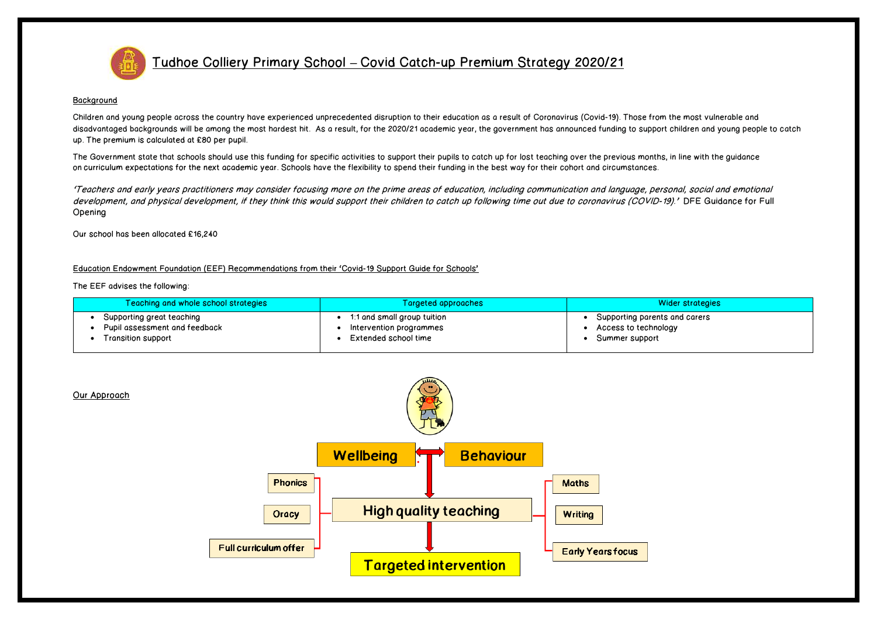

Tudhoe Colliery Primary School **–** Covid Catch-up Premium Strategy 2020/21

## **Background**

Children and young people across the country have experienced unprecedented disruption to their education as a result of Coronavirus (Covid-19). Those from the most vulnerable and disadvantaged backgrounds will be among the most hardest hit. As a result, for the 2020/21 academic year, the government has announced funding to support children and young people to catch up. The premium is calculated at £80 per pupil.

The Government state that schools should use this funding for specific activities to support their pupils to catch up for lost teaching over the previous months, in line with the guidance on curriculum [expectations](https://www.gov.uk/government/publications/actions-for-schools-during-the-coronavirus-outbreak/guidance-for-full-opening-schools#section-3-curriculum-behaviour-and-pastoral-support) for the next academic year. Schools have the flexibility to spend their funding in the best way for their cohort and circumstances.

'Teachers and early years practitioners may consider focusing more on the prime areas of education, including communication and language, personal, social and emotional development, and physical development, if they think this would support their children to catch up following time out due to coronavirus (COVID-19).' DFE Guidance for Full Opening

Our school has been allocated £16,240

Education Endowment Foundation (EEF) Recommendations from their 'Covid-19 Support Guide for Schools'

The EEF advises the following:

| Teaching and whole school strategies | Targeted approaches         | <b>Wider strategies</b>       |
|--------------------------------------|-----------------------------|-------------------------------|
| Supporting great teaching            | 1:1 and small group tuition | Supporting parents and carers |
| Pupil assessment and feedback        | Intervention programmes     | Access to technology          |
| Transition support                   | Extended school time        | Summer support                |



Our Approach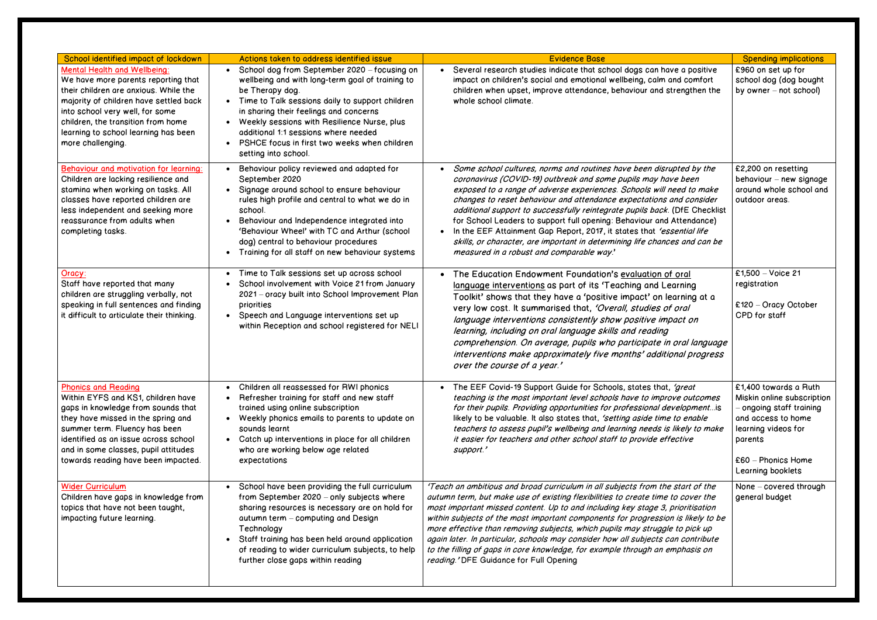| School identified impact of lockdown                                                                                                                                                                                                                                                                 | Actions taken to address identified issue                                                                                                                                                                                                                                                                                                                                                                   | <b>Evidence Base</b>                                                                                                                                                                                                                                                                                                                                                                                                                                                                                                                                                                                                                            | <b>Spending implications</b>                                                                                                                                                       |
|------------------------------------------------------------------------------------------------------------------------------------------------------------------------------------------------------------------------------------------------------------------------------------------------------|-------------------------------------------------------------------------------------------------------------------------------------------------------------------------------------------------------------------------------------------------------------------------------------------------------------------------------------------------------------------------------------------------------------|-------------------------------------------------------------------------------------------------------------------------------------------------------------------------------------------------------------------------------------------------------------------------------------------------------------------------------------------------------------------------------------------------------------------------------------------------------------------------------------------------------------------------------------------------------------------------------------------------------------------------------------------------|------------------------------------------------------------------------------------------------------------------------------------------------------------------------------------|
| <b>Mental Health and Wellbeing:</b><br>We have more parents reporting that<br>their children are anxious. While the<br>majority of children have settled back<br>into school very well, for some<br>children, the transition from home<br>learning to school learning has been<br>more challenging.  | School dog from September 2020 - focusing on<br>$\bullet$<br>wellbeing and with long-term goal of training to<br>be Therapy dog.<br>• Time to Talk sessions daily to support children<br>in sharing their feelings and concerns<br>Weekly sessions with Resilience Nurse, plus<br>additional 1:1 sessions where needed<br>PSHCE focus in first two weeks when children<br>$\bullet$<br>setting into school. | • Several research studies indicate that school dogs can have a positive<br>impact on children's social and emotional wellbeing, calm and comfort<br>children when upset, improve attendance, behaviour and strengthen the<br>whole school climate.                                                                                                                                                                                                                                                                                                                                                                                             | £960 on set up for<br>school dog (dog bought<br>by owner $-$ not school)                                                                                                           |
| Behaviour and motivation for learning:<br>Children are lacking resilience and<br>stamina when working on tasks. All<br>classes have reported children are<br>less independent and seeking more<br>reassurance from adults when<br>completing tasks.                                                  | Behaviour policy reviewed and adapted for<br>$\bullet$<br>September 2020<br>Signage around school to ensure behaviour<br>$\bullet$<br>rules high profile and central to what we do in<br>school.<br>Behaviour and Independence integrated into<br>$\bullet$<br>'Behaviour Wheel' with TC and Arthur (school<br>dog) central to behaviour procedures<br>Training for all staff on new behaviour systems      | Some school cultures, norms and routines have been disrupted by the<br>coronavirus (COVID-19) outbreak and some pupils may have been<br>exposed to a range of adverse experiences. Schools will need to make<br>changes to reset behaviour and attendance expectations and consider<br>additional support to successfully reintegrate pupils back. (DfE Checklist<br>for School Leaders to support full opening: Behaviour and Attendance)<br>In the EEF Attainment Gap Report, 2017, it states that 'essential life<br>skills, or character, are important in determining life chances and can be<br>measured in a robust and comparable way.' | £2,200 on resetting<br>behaviour - new signage<br>around whole school and<br>outdoor areas.                                                                                        |
| Oracy:<br>Staff have reported that many<br>children are struggling verbally, not<br>speaking in full sentences and finding<br>it difficult to articulate their thinking.                                                                                                                             | Time to Talk sessions set up across school<br>$\bullet$<br>School involvement with Voice 21 from January<br>2021 - oracy built into School Improvement Plan<br>priorities<br>Speech and Language interventions set up<br>$\bullet$<br>within Reception and school registered for NELI                                                                                                                       | The Education Endowment Foundation's evaluation of oral<br>language interventions as part of its 'Teaching and Learning<br>Toolkit' shows that they have a 'positive impact' on learning at a<br>very low cost. It summarised that, 'Overall, studies of oral<br>language interventions consistently show positive impact on<br>learning, including on oral language skills and reading<br>comprehension. On average, pupils who participate in oral language<br>interventions make approximately five months' additional progress<br>over the course of a year.'                                                                               | £1,500 - Voice 21<br>registration<br>£120 - Oracy October<br>CPD for staff                                                                                                         |
| <b>Phonics and Reading</b><br>Within EYFS and KS1, children have<br>gaps in knowledge from sounds that<br>they have missed in the spring and<br>summer term. Fluency has been<br>identified as an issue across school<br>and in some classes, pupil attitudes<br>towards reading have been impacted. | Children all reassessed for RWI phonics<br>Refresher training for staff and new staff<br>trained using online subscription<br>Weekly phonics emails to parents to update on<br>sounds learnt<br>Catch up interventions in place for all children<br>who are working below age related<br>expectations                                                                                                       | The EEF Covid-19 Support Guide for Schools, states that, 'great<br>teaching is the most important level schools have to improve outcomes<br>for their pupils. Providing opportunities for professional development is<br>likely to be valuable. It also states that, 'setting aside time to enable<br>teachers to assess pupil's wellbeing and learning needs is likely to make<br>it easier for teachers and other school staff to provide effective<br>support.'                                                                                                                                                                              | £1,400 towards a Ruth<br>Miskin online subscription<br>ongoing staff training<br>and access to home<br>learning videos for<br>parents<br>$£60 - Phonics Home$<br>Learning booklets |
| <b>Wider Curriculum</b><br>Children have gaps in knowledge from<br>topics that have not been taught,<br>impacting future learning.                                                                                                                                                                   | School have been providing the full curriculum<br>from September 2020 - only subjects where<br>sharing resources is necessary are on hold for<br>autumn term - computing and Design<br>Technology<br>Staff training has been held around application<br>of reading to wider curriculum subjects, to help<br>further close gaps within reading                                                               | 'Teach an ambitious and broad curriculum in all subjects from the start of the<br>autumn term, but make use of existing flexibilities to create time to cover the<br>most important missed content. Up to and including key stage 3, prioritisation<br>within subjects of the most important components for progression is likely to be<br>more effective than removing subjects, which pupils may struggle to pick up<br>again later. In particular, schools may consider how all subjects can contribute<br>to the filling of gaps in core knowledge, for example through an emphasis on<br>reading.' DFE Guidance for Full Opening           | None - covered through<br>general budget                                                                                                                                           |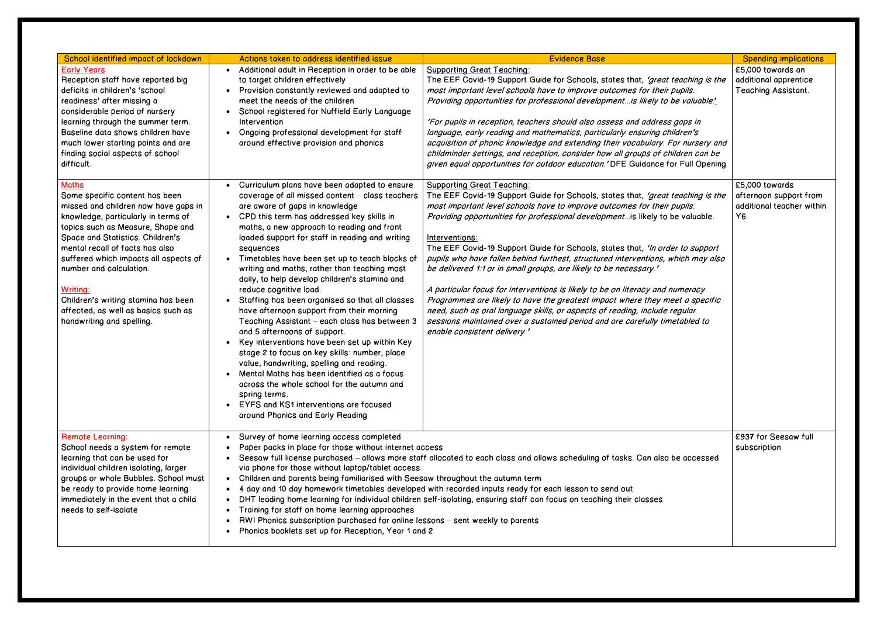| School identified impact of lockdown                                                                                                                                                                                                                                                                                                                                                                                                 | Actions taken to address identified issue                                                                                                                                                                                                                                                                                                                                                                                                                                                                                                                                                                                                                                                                                                                                                                                                                                                                                                                                                                                                                                           | <b>Evidence Base</b>                                                                                                                                                                                                                                                                                                                                                                                                                                                                                                                                                                                                                                                                                                                                                                                                                                                                                         | <b>Spending implications</b>                                                |
|--------------------------------------------------------------------------------------------------------------------------------------------------------------------------------------------------------------------------------------------------------------------------------------------------------------------------------------------------------------------------------------------------------------------------------------|-------------------------------------------------------------------------------------------------------------------------------------------------------------------------------------------------------------------------------------------------------------------------------------------------------------------------------------------------------------------------------------------------------------------------------------------------------------------------------------------------------------------------------------------------------------------------------------------------------------------------------------------------------------------------------------------------------------------------------------------------------------------------------------------------------------------------------------------------------------------------------------------------------------------------------------------------------------------------------------------------------------------------------------------------------------------------------------|--------------------------------------------------------------------------------------------------------------------------------------------------------------------------------------------------------------------------------------------------------------------------------------------------------------------------------------------------------------------------------------------------------------------------------------------------------------------------------------------------------------------------------------------------------------------------------------------------------------------------------------------------------------------------------------------------------------------------------------------------------------------------------------------------------------------------------------------------------------------------------------------------------------|-----------------------------------------------------------------------------|
| <b>Early Years</b><br>Reception staff have reported big<br>deficits in children's 'school<br>readiness' after missing a<br>considerable period of nursery<br>learning through the summer term.<br>Baseline data shows children have<br>much lower starting points and are<br>finding social aspects of school<br>difficult.                                                                                                          | Additional adult in Reception in order to be able<br>$\bullet$<br>to target children effectively<br>Provision constantly reviewed and adapted to<br>meet the needs of the children<br>School registered for Nuffield Early Language<br>Intervention<br>Ongoing professional development for staff<br>$\bullet$<br>around effective provision and phonics                                                                                                                                                                                                                                                                                                                                                                                                                                                                                                                                                                                                                                                                                                                            | <b>Supporting Great Teaching:</b><br>The EEF Covid-19 Support Guide for Schools, states that, 'great teaching is the<br>most important level schools have to improve outcomes for their pupils.<br>Providing opportunities for professional development is likely to be valuable.'<br>'For pupils in reception, teachers should also assess and address gaps in<br>language, early reading and mathematics, particularly ensuring children's<br>acquisition of phonic knowledge and extending their vocabulary. For nursery and<br>childminder settings, and reception, consider how all groups of children can be<br>given equal opportunities for outdoor education.' DFE Guidance for Full Opening                                                                                                                                                                                                        | £5,000 towards an<br>additional apprentice<br>Teaching Assistant.           |
| <b>Maths</b><br>Some specific content has been<br>missed and children now have gaps in<br>knowledge, particularly in terms of<br>topics such as Measure, Shape and<br>Space and Statistics. Children's<br>mental recall of facts has also<br>suffered which impacts all aspects of<br>number and calculation.<br>Writing:<br>Children's writing stamina has been<br>affected, as well as basics such as<br>handwriting and spelling. | Curriculum plans have been adapted to ensure<br>coverage of all missed content - class teachers<br>are aware of gaps in knowledge<br>CPD this term has addressed key skills in<br>$\bullet$<br>maths, a new approach to reading and front<br>loaded support for staff in reading and writing<br>sequences<br>Timetables have been set up to teach blocks of<br>$\bullet$<br>writing and maths, rather than teaching most<br>daily, to help develop children's stamina and<br>reduce cognitive load.<br>Staffing has been organised so that all classes<br>$\bullet$<br>have afternoon support from their morning<br>Teaching Assistant - each class has between 3<br>and 5 afternoons of support.<br>Key interventions have been set up within Key<br>$\bullet$<br>stage 2 to focus on key skills: number, place<br>value, handwriting, spelling and reading.<br>Mental Maths has been identified as a focus<br>$\bullet$<br>across the whole school for the autumn and<br>spring terms.<br>EYFS and KS1 interventions are focused<br>$\bullet$<br>around Phonics and Early Reading | <b>Supporting Great Teaching:</b><br>The EEF Covid-19 Support Guide for Schools, states that, 'great teaching is the<br>most important level schools have to improve outcomes for their pupils.<br>Providing opportunities for professional development is likely to be valuable.<br>Interventions:<br>The EEF Covid-19 Support Guide for Schools, states that, 'In order to support<br>pupils who have fallen behind furthest, structured interventions, which may also<br>be delivered 1:1 or in small groups, are likely to be necessary.'<br>A particular focus for interventions is likely to be on literacy and numeracy.<br>Programmes are likely to have the greatest impact where they meet a specific<br>need, such as oral language skills, or aspects of reading, include regular<br>sessions maintained over a sustained period and are carefully timetabled to<br>enable consistent delivery.' | £5,000 towards<br>afternoon support from<br>additional teacher within<br>Y6 |
| <b>Remote Learning:</b><br>School needs a system for remote<br>learning that can be used for<br>individual children isolating, larger<br>groups or whole Bubbles. School must<br>be ready to provide home learning<br>immediately in the event that a child<br>needs to self-isolate                                                                                                                                                 | Survey of home learning access completed<br>Paper packs in place for those without internet access<br>Seesaw full license purchased – allows more staff allocated to each class and allows scheduling of tasks. Can also be accessed<br>via phone for those without laptop/tablet access<br>Children and parents being familiarised with Seesaw throughout the autumn term<br>$\bullet$<br>4 day and 10 day homework timetables developed with recorded inputs ready for each lesson to send out<br>$\bullet$<br>DHT leading home learning for individual children self-isolating, ensuring staff can focus on teaching their classes<br>$\bullet$<br>Training for staff on home learning approaches<br>٠<br>RWI Phonics subscription purchased for online lessons – sent weekly to parents<br>Phonics booklets set up for Reception, Year 1 and 2                                                                                                                                                                                                                                  |                                                                                                                                                                                                                                                                                                                                                                                                                                                                                                                                                                                                                                                                                                                                                                                                                                                                                                              | £937 for Seesaw full<br>subscription                                        |